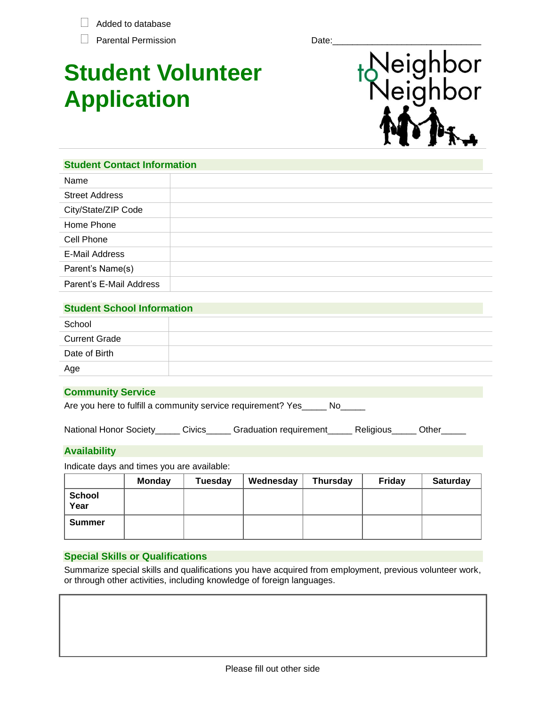$\Box$  Added to database

Parental Permission Date:

# **Student Volunteer Application**



**Student Contact Information** Name Street Address City/State/ZIP Code Home Phone Cell Phone E-Mail Address Parent's Name(s) Parent's E-Mail Address

# **Student School Information**

| School               |  |
|----------------------|--|
| <b>Current Grade</b> |  |
| Date of Birth        |  |
| Age                  |  |

## **Community Service**

Are you here to fulfill a community service requirement? Yes\_\_\_\_\_ No\_\_\_\_

National Honor Society\_\_\_\_\_ Civics\_\_\_\_\_ Graduation requirement\_\_\_\_\_ Religious\_\_\_\_\_ Other\_

## **Availability**

Indicate days and times you are available:

|                       | <b>Monday</b> | <b>Tuesday</b> | Wednesday | <b>Thursday</b> | <b>Friday</b> | <b>Saturday</b> |
|-----------------------|---------------|----------------|-----------|-----------------|---------------|-----------------|
| <b>School</b><br>Year |               |                |           |                 |               |                 |
| Summer                |               |                |           |                 |               |                 |

## **Special Skills or Qualifications**

Summarize special skills and qualifications you have acquired from employment, previous volunteer work, or through other activities, including knowledge of foreign languages.